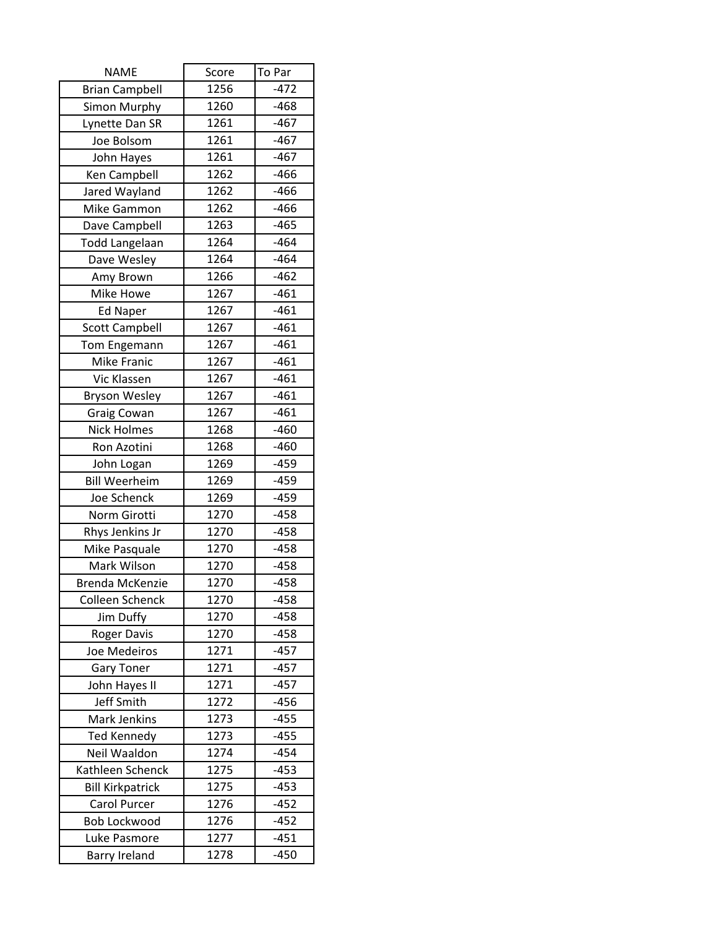| <b>NAME</b>             | Score | To Par |
|-------------------------|-------|--------|
| <b>Brian Campbell</b>   | 1256  | $-472$ |
| Simon Murphy            | 1260  | $-468$ |
| Lynette Dan SR          | 1261  | $-467$ |
| Joe Bolsom              | 1261  | $-467$ |
| John Hayes              | 1261  | $-467$ |
| Ken Campbell            | 1262  | $-466$ |
| Jared Wayland           | 1262  | $-466$ |
| Mike Gammon             | 1262  | $-466$ |
| Dave Campbell           | 1263  | $-465$ |
| <b>Todd Langelaan</b>   | 1264  | $-464$ |
| Dave Wesley             | 1264  | $-464$ |
| Amy Brown               | 1266  | $-462$ |
| Mike Howe               | 1267  | $-461$ |
| <b>Ed Naper</b>         | 1267  | $-461$ |
| <b>Scott Campbell</b>   | 1267  | $-461$ |
| Tom Engemann            | 1267  | $-461$ |
| Mike Franic             | 1267  | $-461$ |
| Vic Klassen             | 1267  | $-461$ |
| <b>Bryson Wesley</b>    | 1267  | $-461$ |
| Graig Cowan             | 1267  | $-461$ |
| <b>Nick Holmes</b>      | 1268  | $-460$ |
| Ron Azotini             | 1268  | $-460$ |
| John Logan              | 1269  | $-459$ |
| <b>Bill Weerheim</b>    | 1269  | $-459$ |
| Joe Schenck             | 1269  | $-459$ |
| Norm Girotti            | 1270  | $-458$ |
| Rhys Jenkins Jr         | 1270  | $-458$ |
| Mike Pasquale           | 1270  | $-458$ |
| Mark Wilson             | 1270  | $-458$ |
| Brenda McKenzie         | 1270  | $-458$ |
| Colleen Schenck         | 1270  | $-458$ |
| Jim Duffy               | 1270  | $-458$ |
| <b>Roger Davis</b>      | 1270  | $-458$ |
| Joe Medeiros            | 1271  | $-457$ |
| <b>Gary Toner</b>       | 1271  | $-457$ |
| John Hayes II           | 1271  | $-457$ |
| Jeff Smith              | 1272  | $-456$ |
| Mark Jenkins            | 1273  | $-455$ |
| <b>Ted Kennedy</b>      | 1273  | $-455$ |
| Neil Waaldon            | 1274  | $-454$ |
| Kathleen Schenck        | 1275  | $-453$ |
| <b>Bill Kirkpatrick</b> | 1275  | $-453$ |
| Carol Purcer            | 1276  | $-452$ |
| <b>Bob Lockwood</b>     | 1276  | $-452$ |
| Luke Pasmore            | 1277  | $-451$ |
| <b>Barry Ireland</b>    | 1278  | $-450$ |